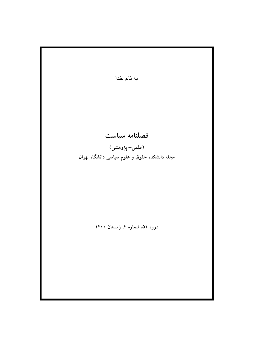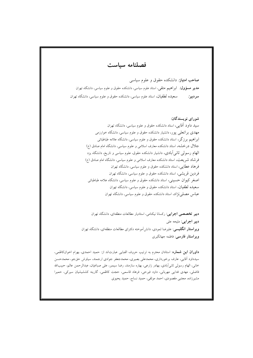فصلنامه ساست

صاحب امتیاز: دانشکده حقوق و علوم سیاسی **مدیر مسؤول:** ابراهیم متقی، استاد علوم سیاسی، دانشکده حقوق و علوم سیاسی، دانشگاه تهران سعیده لطفیان، استاد علوم سیاسی، دانشکده حقوق و علوم سیاسی، دانشگاه تهران سر دبیر:

## شورای نویسندگان:

سید داود آقایی، استاد دانشکده حقوق و علوم سیاسی، دانشگاه تهران مهدی بر اتعلمی یور، دانشیار دانشکده حقوق و علوم سیاسی، دانشگاه خوارزمی ابراهیم برزگر، استاد دانشکده حقوق و علوم سیاسی، دانشگاه علامه طباطبائی جلال درخشه، استاد دانشکده معارف اسلامی و علوم سیاسی، دانشگاه امام صادق (ع) الهام رسولی ثانی ابادی، دانشیار دانشکده حقوق، علوم سیاسی و تاریخ، دانشگاه یزد فرشاد شریعت، استاد دانشکده معارف اسلامی و علوم سیاسی، دانشگاه امام صادق (ع) فر هاد عطایی، استاد دانشکده حقوق و علوم سیاسی، دانشگاه تهران فردین قریشی، استاد دانشکده حقوق و علوم سیاسی، دانشگاه تهران اصغر کیوان حسینی، استاد دانشکده حقوق و علوم سیاسی، دانشگاه علامه طباطبائی سعیده لطفیان، استاد دانشکده حقوق و علوم سیاسی، دانشگاه تهران عباس مصلی نژاد، استاد دانشکده حقوق و علوم سیاسی، دانشگاه تهران

دبیر تخصصی اجرایی: رکسانا نیکنامی، استادیار مطالعات منطقهای، دانشگاه تهران دبير اجرايي: مليحه على **ویراستار انگلیسی**: علیرضا ثمودی، دانش<sub>ا</sub>آموخته دکترای مطالعات منطقهای، دانشگاه تهران ويراستار فارسي: فاطمه جهانگيري

داوران این شماره: استادان محترم به ترتیب حروف الفبایی عبارتاند از: حمید احمدی، بهرام اخوانکاظمی، سیدداود آقایی، عارف برخورداری، محمدعلی بصیری، محمدجعفر جوادی ارجمند، سیاوش حقجو، محمدحسن خاني، الهام رسولي ثاني[بادي، بهادر زارعي، بهاره سازمند، رضا سيمبر، على صباغيان، عبدالرحمن عالم، حبيبالله فاضلی، مهدی فدایی مهربانی، داود فیرحی، فرهاد قاسمی، حجت کاظمی، گارینه کششیشیان سیرکی، حمیرا مشیرزاده، مجتبی مقصودی، احمد موثقی، حمید نساج، حمید یحیوی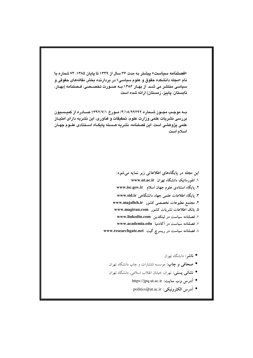«فصلنامه سياست» یتشتر به مدت ۳۶ سال از ۱۳۴۹ تا یابان ۱۳۸۵، ۷۴ شماره با نام «مجله دانشکده حقوق و علوم سیاسی» در بردارنده بخش مقالههای حقوقی و سیاسی منتشر می شـد. از بهـار ۱۳۸۶ بــه صــورت تخصــصـی، فـصلنامه (بهـار، تابستان، ياييز، زمستان) ارائه شده است.

بــه موجـب مجــوز شـــماره ٩٢٦٩/٩/١٨/٩٩٢٩/ مــورخ ١٣٩٢/٧/١ صـــادره از كميـــسيون بررسی نشریات علمی وزارت علوم، تحقیقات و فناوری، این نشریه دارای امتیــاز علمی یژوهشی است. این فصلنامه، نشریه هـسته یابگـاه اسـتنادی علــوم جهـان اسلام است.

> این مجله در پایگاههای اطلاعاتی زیر نمایه میشود: ۱. انفورماتیک دانشگاه تهران www.ut.ac.ir ۲. پایگاه استنادی علوم جهان اسلام \_www.isc.gov.ir ۳. یایگاه اطلاعات علمی جهاد دانشگاهی www.sid.ir ۴. مجتمع مطبوعات تخصصی کشور www.majalleh.ir ۵. بانک اطلاعات نشریات کشور www.magiran.com ۶. فصلنامه سیاست در لینکدین www.linkedin.com ۷. فصلنامه سیاست در آکادمیا www.academia.edu ۸ فصلنامه سیاست در ریسرچ گیت www.researchgate.net

- **ناشر**: دانشگاه تهران
- صحافی و چاپ: موسسه انتشارات و چاپ دانشگاه تهران
- نشانی پستی: تهران، خیابان انقلاب اسلامی، دانشگاه تهران
	- آدرس وب سايت: https://jpq.ut.ac.ir
	- آدرس الكترونيكي: politics@ut.ac.ir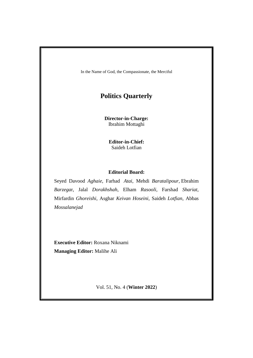In the Name of God, the Compassionate, the Merciful

# **Politics Quarterly**

**Director-in-Charge:** Ibrahim Mottaghi

**Editor-in-Chief:** Saideh Lotfian

### **Editorial Board:**

Seyed Davood *Aghaie*, Farhad *Atai*, Mehdi *Baratalipour*, Ebrahim *Barzega*r, Jalal *Dorakhshah*, Elham *Rasooli*, Farshad *Shariat*, Mirfardin *Ghoreishi*, Asghar *Keivan Hoseini*, Saideh *Lotfian*, Abbas *Mossalanejad*

**Executive Editor:** Roxana Niknami **Managing Editor:** Malihe Ali

Vol. 51, No. 4 (**Winter 2022**)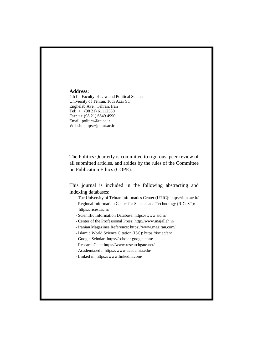#### **Address:**

4th fl., Faculty of Law and Political Science University of Tehran, 16th Azar St. Enghelab Ave., Tehran, Iran Tel: ++ (98 21) 61112530 Fax: ++ (98 21) 6649 4990 Email: politics@ut.ac.ir Website https://jpq.ut.ac.ir

The Politics Quarterly is committed to rigorous peer-review of all submitted articles, and abides by the rules of the Committee on Publication Ethics (COPE).

This journal is included in the following abstracting and indexing databases:

- The University of Tehran Informatics Center (UTIC): https://it.ut.ac.ir/
- Regional Information Center for Science and Technology (RICeST): https://ricest.ac.ir/
- Scientific Information Database: https://www.sid.ir/
- Center of the Professional Press: http://www.majalleh.ir/
- Iranian Magazines Reference: https://www.magiran.com/
- Islamic World Science Citation (ISC): https://isc.ac/en/
- Google Scholar: https://scholar.google.com/
- ResearchGate: https://www.researchgate.net/
- Academia.edu: https://www.academia.edu/
- Linked in: https://www.linkedin.com/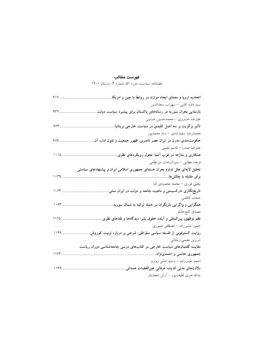# فهرست مطالب

.<br>فصلنامه سیاست، دوره ۵۱، شماره ۴، زمستان ۱۴۰۰

| 91V          | اتحادیه اروپا و معمای ایجاد موازنه در روابط با چین و امریکا.                |
|--------------|-----------------------------------------------------------------------------|
|              | سيد داود آقايي – سهراب سعدالدين                                             |
| $\gamma$     | بازنمایی بحران سوریه در رسانههای پاکستان برای پیشبرد سیاست دولت             |
|              | عليرضا خسروي – محمدحسين حسيني                                               |
| $95r$ .      | تأثیر برگزیت بر سه اصل کلیدی در سیاست خارجی بریتانیا.                       |
|              | محمدرضا سعيدأبادي – سام محمدپور                                             |
| $4\lambda4.$ | حکومتمندی مدرن در ایران عصر ناصری: ظهور جمعیت و فنون اداره آن               |
|              | عليرضا صدرا – قاسم نعمتى                                                    |
| 1.10         | همکاری و منازعه در غرب آسیا: تحول رویکردهای نظری                            |
|              | فرهاد عطایی – منیرالسادات میرنظامی                                          |
|              | تحلیل لایهای علل تداوم بحران هستهای جمهوری اسلامی ایران و پیشنهادهای سیاستی |
| $\cdot$ $49$ | برای مقابله با چالشها                                                       |
|              | يحيى فوزي – محمد محمودي كيا                                                 |
| 1.54         | تاریخنگاری مارکسیستی و ماهیت جامعه و دولت در ایران سنتی                     |
|              | حجت كاظمى                                                                   |
| $1.97$       | همگرایی و واگرایی بازیگران در حمله ترکیه به شمال سوریه                      |
|              | مصدق گنجخانلو                                                               |
| 1170         | نظم نوظهور بینالمللی و اَینده حقوق بشر: دیدگاهها و نقدهای نظری              |
|              | حمیرا مشیرزاده – مصطفی صبوری                                                |
| 1149.        | روایت کسنوفونی از فلسفه سیاسی سقراطی: شرحی بر درباره تربیت کوروش            |
|              | شروين مقيمي زنجاني                                                          |
|              | مقایسه گفتمانهای سیاست خارجی در کتابهای درسی جامعهشناسی دوران ریاست         |
| 11Y          | جمهوری خاتمی و احمدینژاد.                                                   |
|              | احمد نقيبزاده – وحيد اماني زوارم                                            |
| 1199         | دلالتهاى مدنى انديشه عرفاني عينالقضات همداني                                |
|              | يدالله هنرى لطيف پور – أرش امجديان                                          |